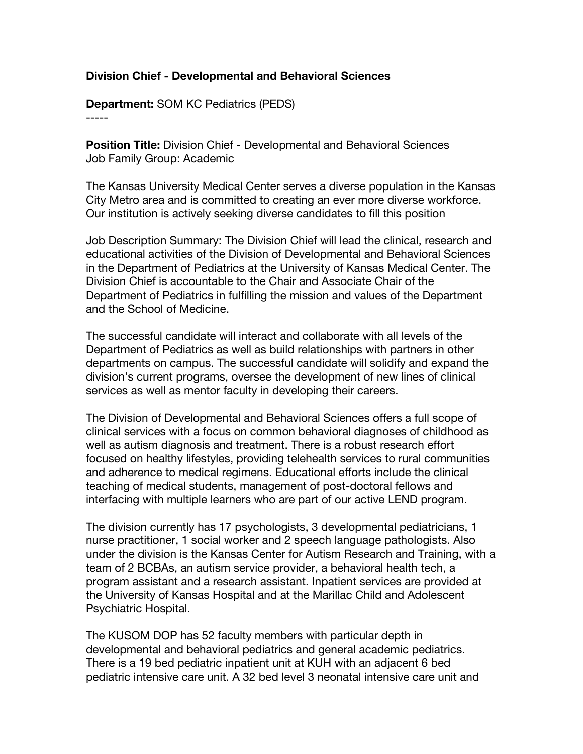## **Division Chief - Developmental and Behavioral Sciences**

**Department:** SOM KC Pediatrics (PEDS)

-----

**Position Title:** Division Chief - Developmental and Behavioral Sciences Job Family Group: Academic

The Kansas University Medical Center serves a diverse population in the Kansas City Metro area and is committed to creating an ever more diverse workforce. Our institution is actively seeking diverse candidates to fill this position

Job Description Summary: The Division Chief will lead the clinical, research and educational activities of the Division of Developmental and Behavioral Sciences in the Department of Pediatrics at the University of Kansas Medical Center. The Division Chief is accountable to the Chair and Associate Chair of the Department of Pediatrics in fulfilling the mission and values of the Department and the School of Medicine.

The successful candidate will interact and collaborate with all levels of the Department of Pediatrics as well as build relationships with partners in other departments on campus. The successful candidate will solidify and expand the division's current programs, oversee the development of new lines of clinical services as well as mentor faculty in developing their careers.

The Division of Developmental and Behavioral Sciences offers a full scope of clinical services with a focus on common behavioral diagnoses of childhood as well as autism diagnosis and treatment. There is a robust research effort focused on healthy lifestyles, providing telehealth services to rural communities and adherence to medical regimens. Educational efforts include the clinical teaching of medical students, management of post-doctoral fellows and interfacing with multiple learners who are part of our active LEND program.

The division currently has 17 psychologists, 3 developmental pediatricians, 1 nurse practitioner, 1 social worker and 2 speech language pathologists. Also under the division is the Kansas Center for Autism Research and Training, with a team of 2 BCBAs, an autism service provider, a behavioral health tech, a program assistant and a research assistant. Inpatient services are provided at the University of Kansas Hospital and at the Marillac Child and Adolescent Psychiatric Hospital.

The KUSOM DOP has 52 faculty members with particular depth in developmental and behavioral pediatrics and general academic pediatrics. There is a 19 bed pediatric inpatient unit at KUH with an adjacent 6 bed pediatric intensive care unit. A 32 bed level 3 neonatal intensive care unit and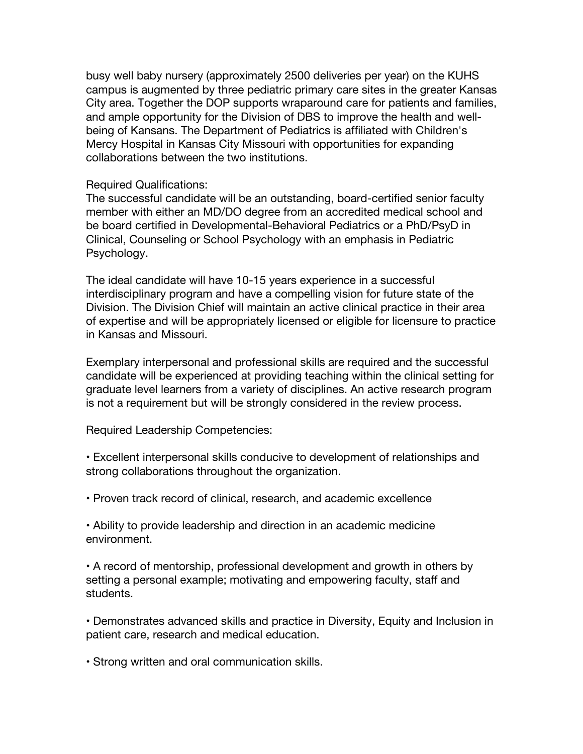busy well baby nursery (approximately 2500 deliveries per year) on the KUHS campus is augmented by three pediatric primary care sites in the greater Kansas City area. Together the DOP supports wraparound care for patients and families, and ample opportunity for the Division of DBS to improve the health and wellbeing of Kansans. The Department of Pediatrics is affiliated with Children's Mercy Hospital in Kansas City Missouri with opportunities for expanding collaborations between the two institutions.

## Required Qualifications:

The successful candidate will be an outstanding, board-certified senior faculty member with either an MD/DO degree from an accredited medical school and be board certified in Developmental-Behavioral Pediatrics or a PhD/PsyD in Clinical, Counseling or School Psychology with an emphasis in Pediatric Psychology.

The ideal candidate will have 10-15 years experience in a successful interdisciplinary program and have a compelling vision for future state of the Division. The Division Chief will maintain an active clinical practice in their area of expertise and will be appropriately licensed or eligible for licensure to practice in Kansas and Missouri.

Exemplary interpersonal and professional skills are required and the successful candidate will be experienced at providing teaching within the clinical setting for graduate level learners from a variety of disciplines. An active research program is not a requirement but will be strongly considered in the review process.

Required Leadership Competencies:

• Excellent interpersonal skills conducive to development of relationships and strong collaborations throughout the organization.

• Proven track record of clinical, research, and academic excellence

• Ability to provide leadership and direction in an academic medicine environment.

• A record of mentorship, professional development and growth in others by setting a personal example; motivating and empowering faculty, staff and students.

• Demonstrates advanced skills and practice in Diversity, Equity and Inclusion in patient care, research and medical education.

• Strong written and oral communication skills.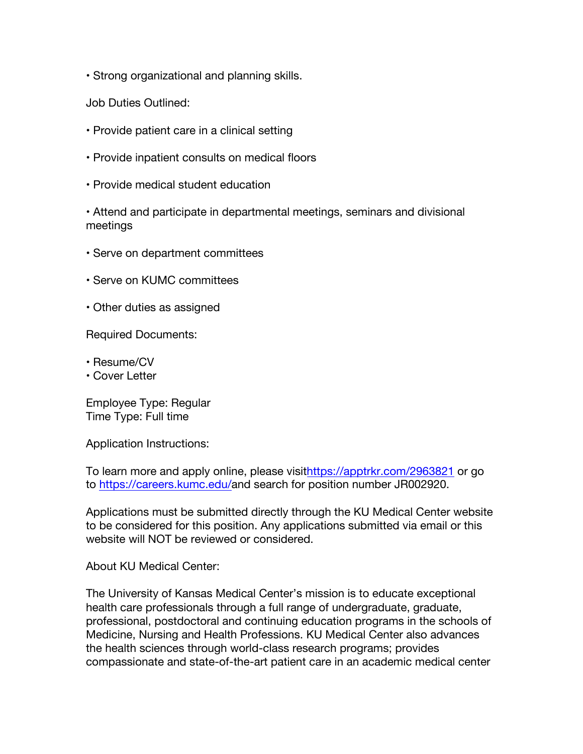• Strong organizational and planning skills.

Job Duties Outlined:

- Provide patient care in a clinical setting
- Provide inpatient consults on medical floors
- Provide medical student education

• Attend and participate in departmental meetings, seminars and divisional meetings

- Serve on department committees
- Serve on KUMC committees
- Other duties as assigned

Required Documents:

- Resume/CV
- Cover Letter

Employee Type: Regular Time Type: Full time

Application Instructions:

To learn more and apply online, please visithttps://apptrkr.com/2963821 or go to https://careers.kumc.edu/and search for position number JR002920.

Applications must be submitted directly through the KU Medical Center website to be considered for this position. Any applications submitted via email or this website will NOT be reviewed or considered.

About KU Medical Center:

The University of Kansas Medical Center's mission is to educate exceptional health care professionals through a full range of undergraduate, graduate, professional, postdoctoral and continuing education programs in the schools of Medicine, Nursing and Health Professions. KU Medical Center also advances the health sciences through world-class research programs; provides compassionate and state-of-the-art patient care in an academic medical center